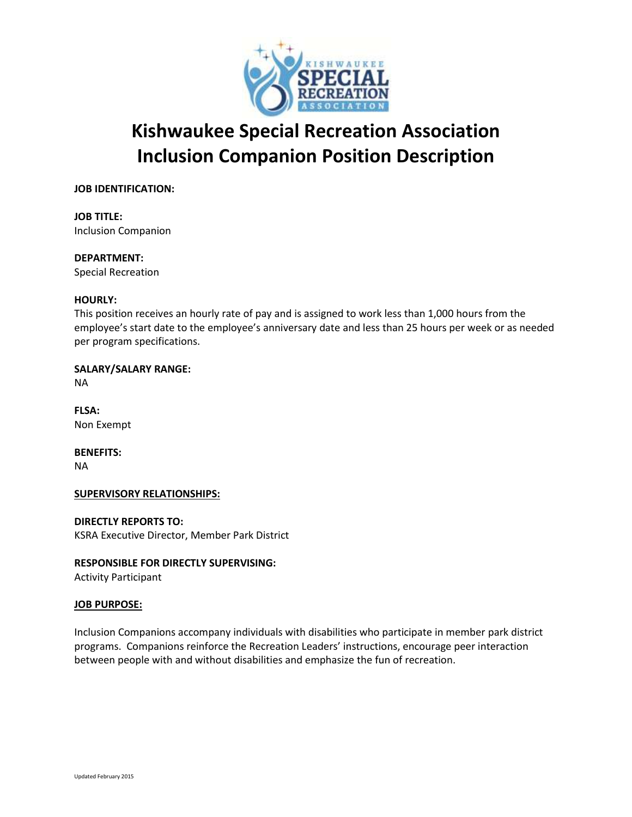

# **Kishwaukee Special Recreation Association Inclusion Companion Position Description**

# **JOB IDENTIFICATION:**

**JOB TITLE:** Inclusion Companion

# **DEPARTMENT:**

Special Recreation

# **HOURLY:**

This position receives an hourly rate of pay and is assigned to work less than 1,000 hours from the employee's start date to the employee's anniversary date and less than 25 hours per week or as needed per program specifications.

**SALARY/SALARY RANGE:**

NA

**FLSA:** Non Exempt

**BENEFITS:** NA

# **SUPERVISORY RELATIONSHIPS:**

**DIRECTLY REPORTS TO:** KSRA Executive Director, Member Park District

# **RESPONSIBLE FOR DIRECTLY SUPERVISING:**

Activity Participant

# **JOB PURPOSE:**

Inclusion Companions accompany individuals with disabilities who participate in member park district programs. Companions reinforce the Recreation Leaders' instructions, encourage peer interaction between people with and without disabilities and emphasize the fun of recreation.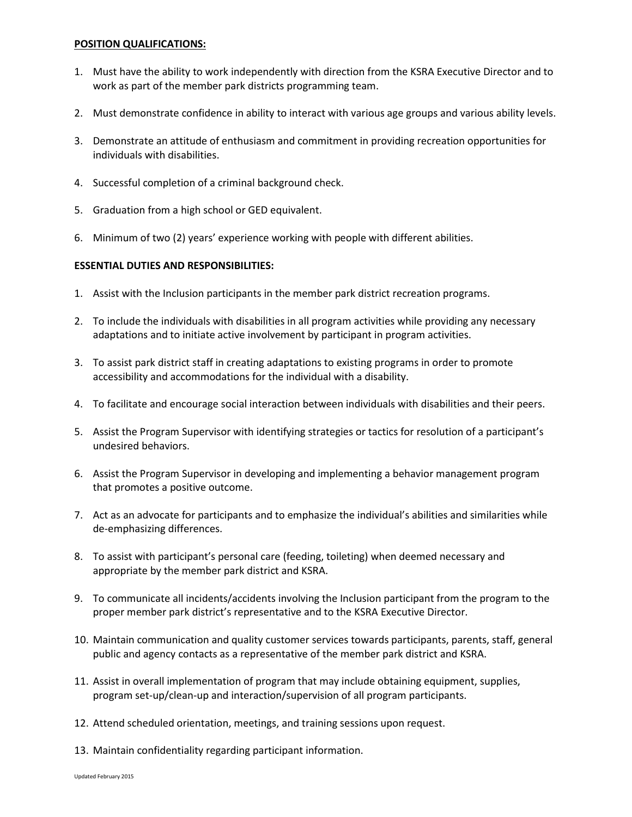### **POSITION QUALIFICATIONS:**

- 1. Must have the ability to work independently with direction from the KSRA Executive Director and to work as part of the member park districts programming team.
- 2. Must demonstrate confidence in ability to interact with various age groups and various ability levels.
- 3. Demonstrate an attitude of enthusiasm and commitment in providing recreation opportunities for individuals with disabilities.
- 4. Successful completion of a criminal background check.
- 5. Graduation from a high school or GED equivalent.
- 6. Minimum of two (2) years' experience working with people with different abilities.

# **ESSENTIAL DUTIES AND RESPONSIBILITIES:**

- 1. Assist with the Inclusion participants in the member park district recreation programs.
- 2. To include the individuals with disabilities in all program activities while providing any necessary adaptations and to initiate active involvement by participant in program activities.
- 3. To assist park district staff in creating adaptations to existing programs in order to promote accessibility and accommodations for the individual with a disability.
- 4. To facilitate and encourage social interaction between individuals with disabilities and their peers.
- 5. Assist the Program Supervisor with identifying strategies or tactics for resolution of a participant's undesired behaviors.
- 6. Assist the Program Supervisor in developing and implementing a behavior management program that promotes a positive outcome.
- 7. Act as an advocate for participants and to emphasize the individual's abilities and similarities while de-emphasizing differences.
- 8. To assist with participant's personal care (feeding, toileting) when deemed necessary and appropriate by the member park district and KSRA.
- 9. To communicate all incidents/accidents involving the Inclusion participant from the program to the proper member park district's representative and to the KSRA Executive Director.
- 10. Maintain communication and quality customer services towards participants, parents, staff, general public and agency contacts as a representative of the member park district and KSRA.
- 11. Assist in overall implementation of program that may include obtaining equipment, supplies, program set-up/clean-up and interaction/supervision of all program participants.
- 12. Attend scheduled orientation, meetings, and training sessions upon request.
- 13. Maintain confidentiality regarding participant information.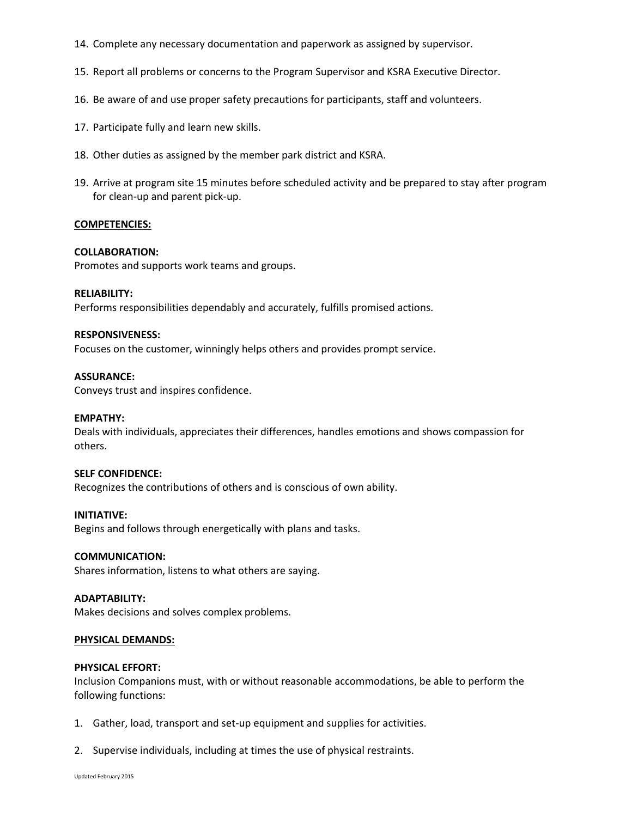- 14. Complete any necessary documentation and paperwork as assigned by supervisor.
- 15. Report all problems or concerns to the Program Supervisor and KSRA Executive Director.
- 16. Be aware of and use proper safety precautions for participants, staff and volunteers.
- 17. Participate fully and learn new skills.
- 18. Other duties as assigned by the member park district and KSRA.
- 19. Arrive at program site 15 minutes before scheduled activity and be prepared to stay after program for clean-up and parent pick-up.

#### **COMPETENCIES:**

#### **COLLABORATION:**

Promotes and supports work teams and groups.

#### **RELIABILITY:**

Performs responsibilities dependably and accurately, fulfills promised actions.

#### **RESPONSIVENESS:**

Focuses on the customer, winningly helps others and provides prompt service.

#### **ASSURANCE:**

Conveys trust and inspires confidence.

#### **EMPATHY:**

Deals with individuals, appreciates their differences, handles emotions and shows compassion for others.

#### **SELF CONFIDENCE:**

Recognizes the contributions of others and is conscious of own ability.

#### **INITIATIVE:**

Begins and follows through energetically with plans and tasks.

#### **COMMUNICATION:**

Shares information, listens to what others are saying.

#### **ADAPTABILITY:**

Makes decisions and solves complex problems.

#### **PHYSICAL DEMANDS:**

#### **PHYSICAL EFFORT:**

Inclusion Companions must, with or without reasonable accommodations, be able to perform the following functions:

- 1. Gather, load, transport and set-up equipment and supplies for activities.
- 2. Supervise individuals, including at times the use of physical restraints.